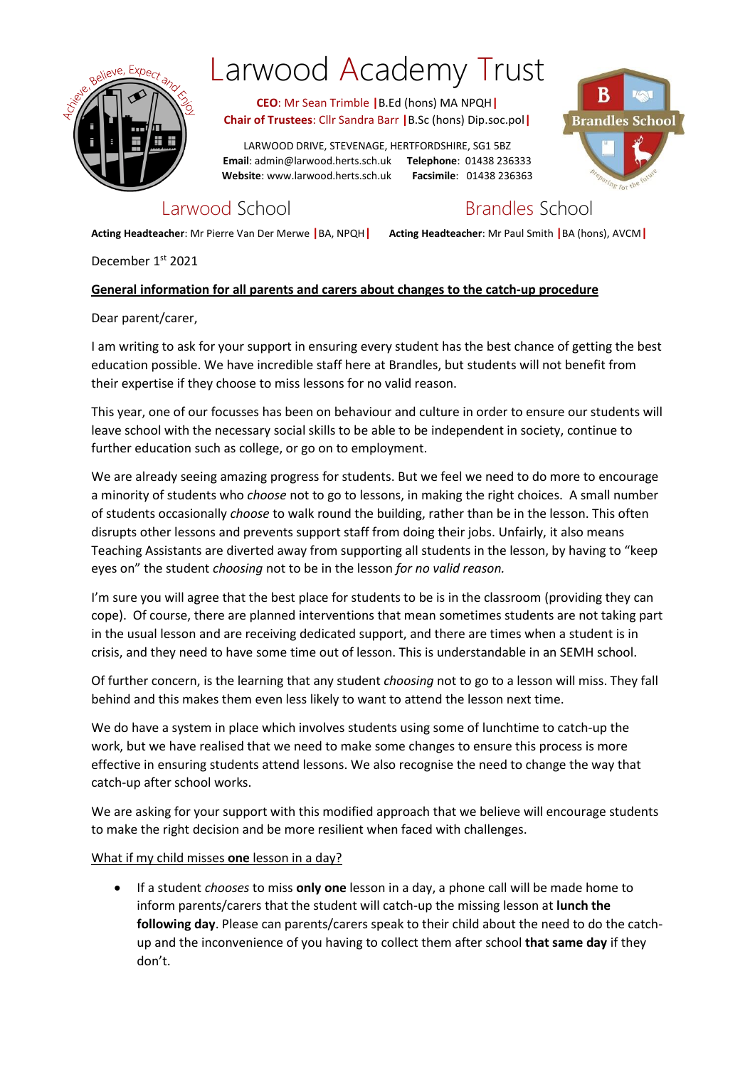

# Larwood Academy Trust

**CEO**: Mr Sean Trimble **|**B.Ed (hons) MA NPQH**| Chair of Trustees**: Cllr Sandra Barr **|**B.Sc (hons) Dip.soc.pol**|**

LARWOOD DRIVE, STEVENAGE, HERTFORDSHIRE, SG1 5BZ **Email**: admin@larwood.herts.sch.uk **Telephone**: 01438 236333 **Website**: www.larwood.herts.sch.uk **Facsimile**: 01438 236363



# Larwood School **Brandles** School

**Acting Headteacher**: Mr Pierre Van Der Merwe **|**BA, NPQH**| Acting Headteacher**: Mr Paul Smith **|**BA (hons), AVCM**|**

December 1st 2021

### **General information for all parents and carers about changes to the catch-up procedure**

Dear parent/carer,

I am writing to ask for your support in ensuring every student has the best chance of getting the best education possible. We have incredible staff here at Brandles, but students will not benefit from their expertise if they choose to miss lessons for no valid reason.

This year, one of our focusses has been on behaviour and culture in order to ensure our students will leave school with the necessary social skills to be able to be independent in society, continue to further education such as college, or go on to employment.

We are already seeing amazing progress for students. But we feel we need to do more to encourage a minority of students who *choose* not to go to lessons, in making the right choices. A small number of students occasionally *choose* to walk round the building, rather than be in the lesson. This often disrupts other lessons and prevents support staff from doing their jobs. Unfairly, it also means Teaching Assistants are diverted away from supporting all students in the lesson, by having to "keep eyes on" the student *choosing* not to be in the lesson *for no valid reason.*

I'm sure you will agree that the best place for students to be is in the classroom (providing they can cope). Of course, there are planned interventions that mean sometimes students are not taking part in the usual lesson and are receiving dedicated support, and there are times when a student is in crisis, and they need to have some time out of lesson. This is understandable in an SEMH school.

Of further concern, is the learning that any student *choosing* not to go to a lesson will miss. They fall behind and this makes them even less likely to want to attend the lesson next time.

We do have a system in place which involves students using some of lunchtime to catch-up the work, but we have realised that we need to make some changes to ensure this process is more effective in ensuring students attend lessons. We also recognise the need to change the way that catch-up after school works.

We are asking for your support with this modified approach that we believe will encourage students to make the right decision and be more resilient when faced with challenges.

#### What if my child misses **one** lesson in a day?

 If a student *chooses* to miss **only one** lesson in a day, a phone call will be made home to inform parents/carers that the student will catch-up the missing lesson at **lunch the following day**. Please can parents/carers speak to their child about the need to do the catchup and the inconvenience of you having to collect them after school **that same day** if they don't.